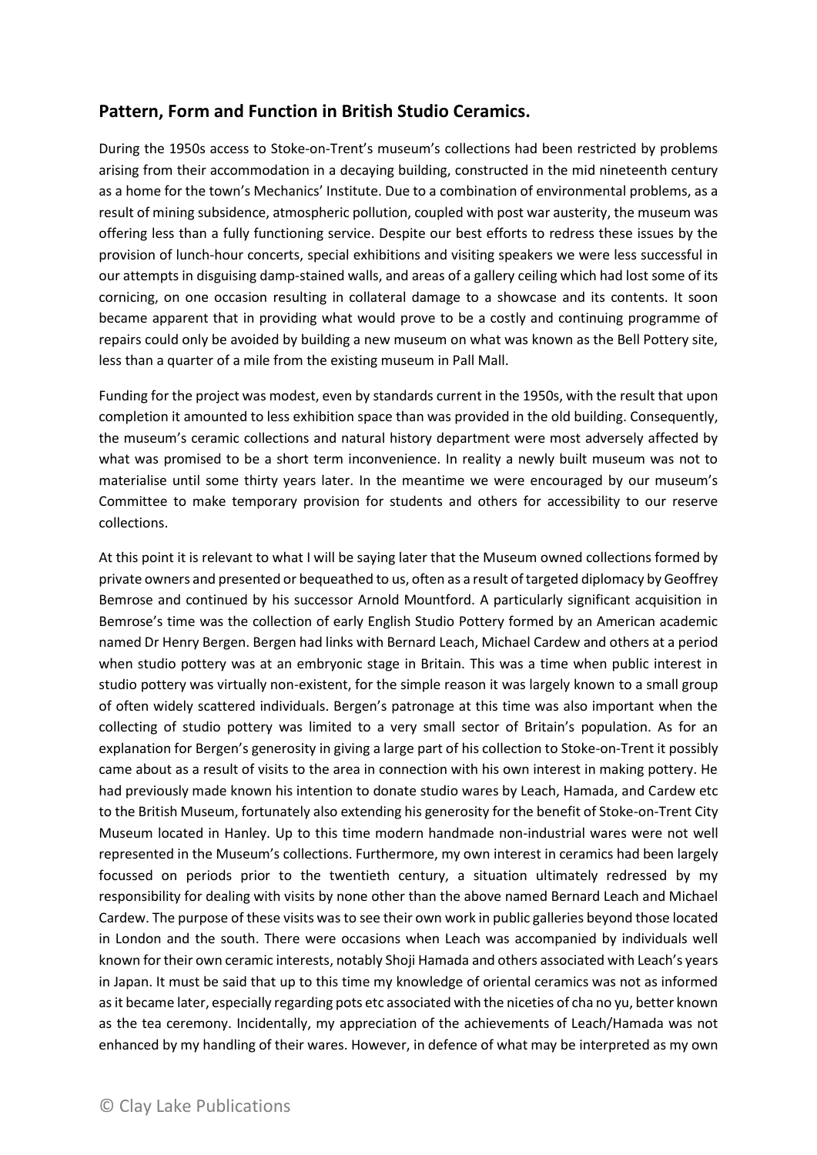## **Pattern, Form and Function in British Studio Ceramics.**

During the 1950s access to Stoke-on-Trent's museum's collections had been restricted by problems arising from their accommodation in a decaying building, constructed in the mid nineteenth century as a home for the town's Mechanics' Institute. Due to a combination of environmental problems, as a result of mining subsidence, atmospheric pollution, coupled with post war austerity, the museum was offering less than a fully functioning service. Despite our best efforts to redress these issues by the provision of lunch-hour concerts, special exhibitions and visiting speakers we were less successful in our attempts in disguising damp-stained walls, and areas of a gallery ceiling which had lost some of its cornicing, on one occasion resulting in collateral damage to a showcase and its contents. It soon became apparent that in providing what would prove to be a costly and continuing programme of repairs could only be avoided by building a new museum on what was known as the Bell Pottery site, less than a quarter of a mile from the existing museum in Pall Mall.

Funding for the project was modest, even by standards current in the 1950s, with the result that upon completion it amounted to less exhibition space than was provided in the old building. Consequently, the museum's ceramic collections and natural history department were most adversely affected by what was promised to be a short term inconvenience. In reality a newly built museum was not to materialise until some thirty years later. In the meantime we were encouraged by our museum's Committee to make temporary provision for students and others for accessibility to our reserve collections.

At this point it is relevant to what I will be saying later that the Museum owned collections formed by private owners and presented or bequeathed to us, often as a result of targeted diplomacy by Geoffrey Bemrose and continued by his successor Arnold Mountford. A particularly significant acquisition in Bemrose's time was the collection of early English Studio Pottery formed by an American academic named Dr Henry Bergen. Bergen had links with Bernard Leach, Michael Cardew and others at a period when studio pottery was at an embryonic stage in Britain. This was a time when public interest in studio pottery was virtually non-existent, for the simple reason it was largely known to a small group of often widely scattered individuals. Bergen's patronage at this time was also important when the collecting of studio pottery was limited to a very small sector of Britain's population. As for an explanation for Bergen's generosity in giving a large part of his collection to Stoke-on-Trent it possibly came about as a result of visits to the area in connection with his own interest in making pottery. He had previously made known his intention to donate studio wares by Leach, Hamada, and Cardew etc to the British Museum, fortunately also extending his generosity for the benefit of Stoke-on-Trent City Museum located in Hanley. Up to this time modern handmade non-industrial wares were not well represented in the Museum's collections. Furthermore, my own interest in ceramics had been largely focussed on periods prior to the twentieth century, a situation ultimately redressed by my responsibility for dealing with visits by none other than the above named Bernard Leach and Michael Cardew. The purpose of these visits was to see their own work in public galleries beyond those located in London and the south. There were occasions when Leach was accompanied by individuals well known for their own ceramic interests, notably Shoji Hamada and others associated with Leach's years in Japan. It must be said that up to this time my knowledge of oriental ceramics was not as informed as it became later, especially regarding pots etc associated with the niceties of cha no yu, better known as the tea ceremony. Incidentally, my appreciation of the achievements of Leach/Hamada was not enhanced by my handling of their wares. However, in defence of what may be interpreted as my own